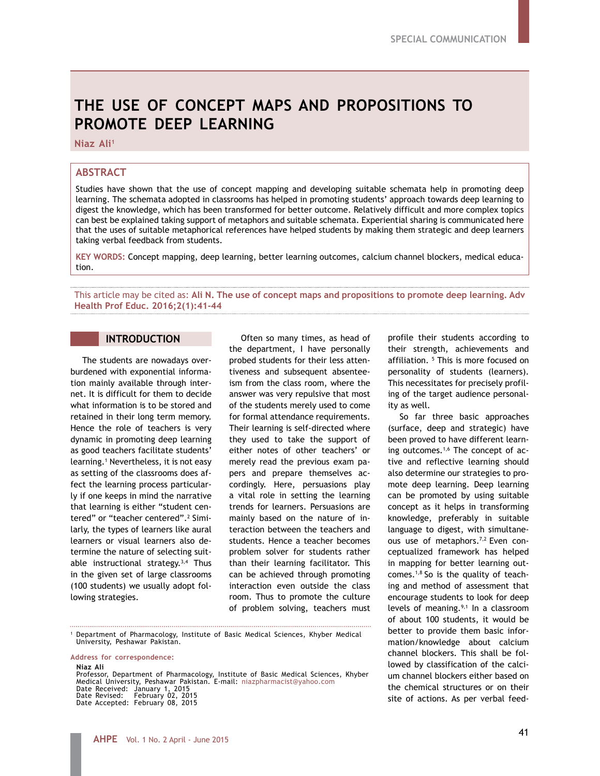# **THE USE OF CONCEPT MAPS AND PROPOSITIONS TO PROMOTE DEEP LEARNING**

**Niaz Ali1**

# **ABSTRACT**

Studies have shown that the use of concept mapping and developing suitable schemata help in promoting deep learning. The schemata adopted in classrooms has helped in promoting students' approach towards deep learning to digest the knowledge, which has been transformed for better outcome. Relatively difficult and more complex topics can best be explained taking support of metaphors and suitable schemata. Experiential sharing is communicated here that the uses of suitable metaphorical references have helped students by making them strategic and deep learners taking verbal feedback from students.

**KEY WORDS:** Concept mapping, deep learning, better learning outcomes, calcium channel blockers, medical education.

This article may be cited as: **Ali N. The use of concept maps and propositions to promote deep learning. Adv Health Prof Educ. 2016;2(1):41-44**

## **INTRODUCTION**

The students are nowadays overburdened with exponential information mainly available through internet. It is difficult for them to decide what information is to be stored and retained in their long term memory. Hence the role of teachers is very dynamic in promoting deep learning as good teachers facilitate students' learning.1 Nevertheless, it is not easy as setting of the classrooms does affect the learning process particularly if one keeps in mind the narrative that learning is either "student centered" or "teacher centered".<sup>2</sup> Similarly, the types of learners like aural learners or visual learners also determine the nature of selecting suitable instructional strategy.3,4 Thus in the given set of large classrooms (100 students) we usually adopt following strategies.

Often so many times, as head of the department, I have personally probed students for their less attentiveness and subsequent absenteeism from the class room, where the answer was very repulsive that most of the students merely used to come for formal attendance requirements. Their learning is self-directed where they used to take the support of either notes of other teachers' or merely read the previous exam papers and prepare themselves accordingly. Here, persuasions play a vital role in setting the learning trends for learners. Persuasions are mainly based on the nature of interaction between the teachers and students. Hence a teacher becomes problem solver for students rather than their learning facilitator. This can be achieved through promoting interaction even outside the class room. Thus to promote the culture of problem solving, teachers must

<sup>1</sup> Department of Pharmacology, Institute of Basic Medical Sciences, Khyber Medical University, Peshawar Pakistan.

**Address for correspondence:**

**Niaz Ali** Professor, Department of Pharmacology, Institute of Basic Medical Sciences, Khyber Medical University, Peshawar Pakistan. E-mail: niazpharmacist@yahoo.com Date Received: January 1, 2015 Date Revised: February 02, 2015 Date Accepted: February 08, 2015

profile their students according to their strength, achievements and affiliation. 5 This is more focused on personality of students (learners). This necessitates for precisely profiling of the target audience personality as well.

So far three basic approaches (surface, deep and strategic) have been proved to have different learning outcomes.1,6 The concept of active and reflective learning should also determine our strategies to promote deep learning. Deep learning can be promoted by using suitable concept as it helps in transforming knowledge, preferably in suitable language to digest, with simultaneous use of metaphors.<sup>7,2</sup> Even conceptualized framework has helped in mapping for better learning outcomes. $1,8$  So is the quality of teaching and method of assessment that encourage students to look for deep levels of meaning. $9,1$  In a classroom of about 100 students, it would be better to provide them basic information/knowledge about calcium channel blockers. This shall be followed by classification of the calcium channel blockers either based on the chemical structures or on their site of actions. As per verbal feed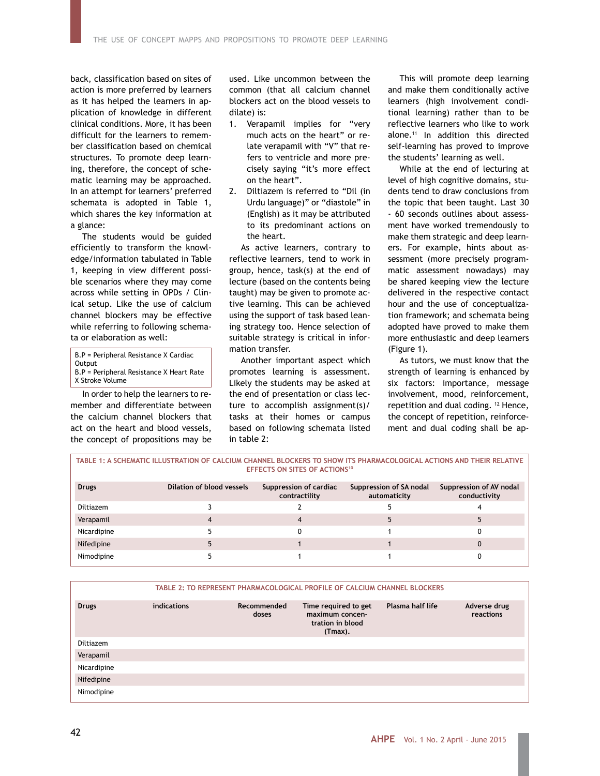back, classification based on sites of action is more preferred by learners as it has helped the learners in application of knowledge in different clinical conditions. More, it has been difficult for the learners to remember classification based on chemical structures. To promote deep learning, therefore, the concept of schematic learning may be approached. In an attempt for learners' preferred schemata is adopted in Table 1, which shares the key information at a glance:

The students would be guided efficiently to transform the knowledge/information tabulated in Table 1, keeping in view different possible scenarios where they may come across while setting in OPDs / Clinical setup. Like the use of calcium channel blockers may be effective while referring to following schemata or elaboration as well:

B.P = Peripheral Resistance X Cardiac

- **Output**
- B.P = Peripheral Resistance X Heart Rate X Stroke Volume

In order to help the learners to re-

member and differentiate between the calcium channel blockers that act on the heart and blood vessels, the concept of propositions may be

used. Like uncommon between the common (that all calcium channel blockers act on the blood vessels to dilate) is:

- 1. Verapamil implies for "very much acts on the heart" or relate verapamil with "V" that refers to ventricle and more precisely saying "it's more effect on the heart".
- 2. Diltiazem is referred to "Dil (in Urdu language)" or "diastole" in (English) as it may be attributed to its predominant actions on the heart.

As active learners, contrary to reflective learners, tend to work in group, hence, task(s) at the end of lecture (based on the contents being taught) may be given to promote active learning. This can be achieved using the support of task based leaning strategy too. Hence selection of suitable strategy is critical in information transfer.

Another important aspect which promotes learning is assessment. Likely the students may be asked at the end of presentation or class lecture to accomplish assignment(s)/ tasks at their homes or campus based on following schemata listed in table 2:

This will promote deep learning and make them conditionally active learners (high involvement conditional learning) rather than to be reflective learners who like to work alone.11 In addition this directed self-learning has proved to improve the students' learning as well.

While at the end of lecturing at level of high cognitive domains, students tend to draw conclusions from the topic that been taught. Last 30 - 60 seconds outlines about assessment have worked tremendously to make them strategic and deep learners. For example, hints about assessment (more precisely programmatic assessment nowadays) may be shared keeping view the lecture delivered in the respective contact hour and the use of conceptualization framework; and schemata being adopted have proved to make them more enthusiastic and deep learners (Figure 1).

As tutors, we must know that the strength of learning is enhanced by six factors: importance, message involvement, mood, reinforcement, repetition and dual coding. 12 Hence, the concept of repetition, reinforcement and dual coding shall be ap-

| TABLE 1: A SCHEMATIC ILLUSTRATION OF CALCIUM CHANNEL BLOCKERS TO SHOW ITS PHARMACOLOGICAL ACTIONS AND THEIR RELATIVE<br><b>EFFECTS ON SITES OF ACTIONS<sup>10</sup></b> |                           |                                         |                                         |                                         |  |  |  |  |
|-------------------------------------------------------------------------------------------------------------------------------------------------------------------------|---------------------------|-----------------------------------------|-----------------------------------------|-----------------------------------------|--|--|--|--|
| <b>Drugs</b>                                                                                                                                                            | Dilation of blood vessels | Suppression of cardiac<br>contractility | Suppression of SA nodal<br>automaticity | Suppression of AV nodal<br>conductivity |  |  |  |  |
| Diltiazem                                                                                                                                                               |                           |                                         |                                         |                                         |  |  |  |  |
| Verapamil                                                                                                                                                               |                           |                                         |                                         |                                         |  |  |  |  |
| Nicardipine                                                                                                                                                             |                           |                                         |                                         |                                         |  |  |  |  |
| Nifedipine                                                                                                                                                              |                           |                                         |                                         |                                         |  |  |  |  |
| Nimodipine                                                                                                                                                              |                           |                                         |                                         |                                         |  |  |  |  |

|              |             | TABLE 2: TO REPRESENT PHARMACOLOGICAL PROFILE OF CALCIUM CHANNEL BLOCKERS |                                                                        |                  |                           |  |  |  |
|--------------|-------------|---------------------------------------------------------------------------|------------------------------------------------------------------------|------------------|---------------------------|--|--|--|
| <b>Drugs</b> | indications | Recommended<br>doses                                                      | Time required to get<br>maximum concen-<br>tration in blood<br>(Tmax). | Plasma half life | Adverse drug<br>reactions |  |  |  |
| Diltiazem    |             |                                                                           |                                                                        |                  |                           |  |  |  |
| Verapamil    |             |                                                                           |                                                                        |                  |                           |  |  |  |
| Nicardipine  |             |                                                                           |                                                                        |                  |                           |  |  |  |
| Nifedipine   |             |                                                                           |                                                                        |                  |                           |  |  |  |
| Nimodipine   |             |                                                                           |                                                                        |                  |                           |  |  |  |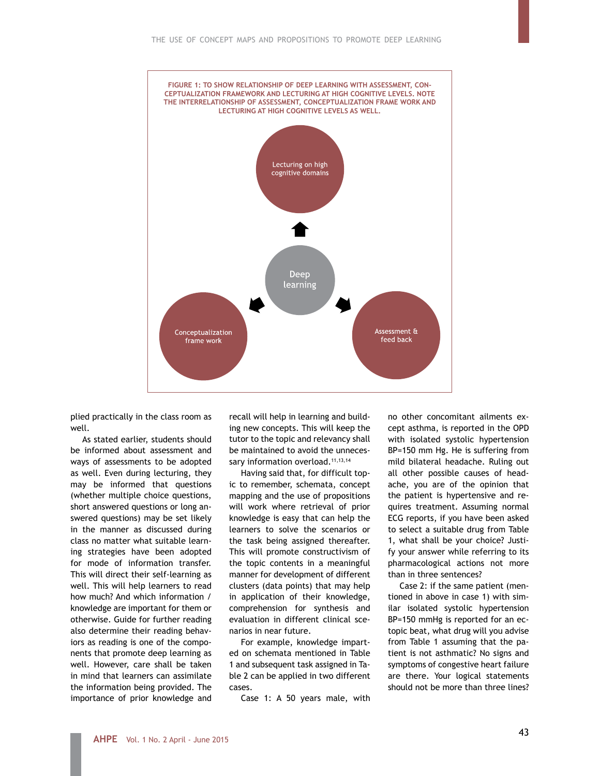

plied practically in the class room as well.

As stated earlier, students should be informed about assessment and ways of assessments to be adopted as well. Even during lecturing, they may be informed that questions (whether multiple choice questions, short answered questions or long answered questions) may be set likely in the manner as discussed during class no matter what suitable learning strategies have been adopted for mode of information transfer. This will direct their self-learning as well. This will help learners to read how much? And which information / knowledge are important for them or otherwise. Guide for further reading also determine their reading behaviors as reading is one of the components that promote deep learning as well. However, care shall be taken in mind that learners can assimilate the information being provided. The importance of prior knowledge and

recall will help in learning and building new concepts. This will keep the tutor to the topic and relevancy shall be maintained to avoid the unnecessary information overload.<sup>11,13,14</sup>

Having said that, for difficult topic to remember, schemata, concept mapping and the use of propositions will work where retrieval of prior knowledge is easy that can help the learners to solve the scenarios or the task being assigned thereafter. This will promote constructivism of the topic contents in a meaningful manner for development of different clusters (data points) that may help in application of their knowledge, comprehension for synthesis and evaluation in different clinical scenarios in near future.

For example, knowledge imparted on schemata mentioned in Table 1 and subsequent task assigned in Table 2 can be applied in two different cases.

Case 1: A 50 years male, with

no other concomitant ailments except asthma, is reported in the OPD with isolated systolic hypertension BP=150 mm Hg. He is suffering from mild bilateral headache. Ruling out all other possible causes of headache, you are of the opinion that the patient is hypertensive and requires treatment. Assuming normal ECG reports, if you have been asked to select a suitable drug from Table 1, what shall be your choice? Justify your answer while referring to its pharmacological actions not more than in three sentences?

Case 2: if the same patient (mentioned in above in case 1) with similar isolated systolic hypertension BP=150 mmHg is reported for an ectopic beat, what drug will you advise from Table 1 assuming that the patient is not asthmatic? No signs and symptoms of congestive heart failure are there. Your logical statements should not be more than three lines?